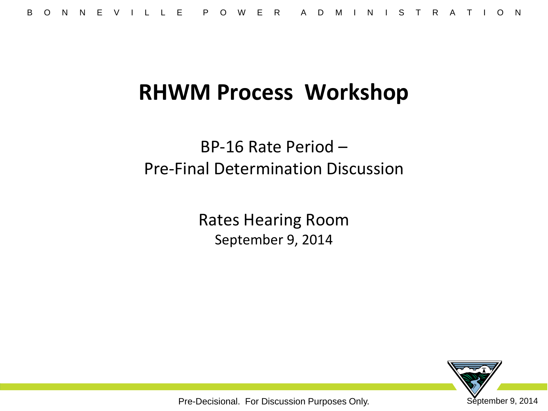## **RHWM Process Workshop**

BP-16 Rate Period – Pre-Final Determination Discussion

> Rates Hearing Room September 9, 2014

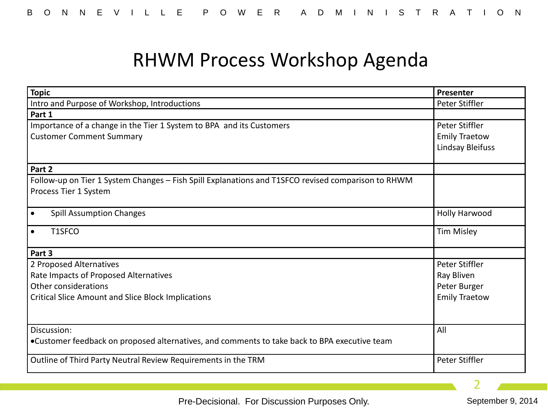### RHWM Process Workshop Agenda

| <b>Topic</b>                                                                                       | Presenter            |
|----------------------------------------------------------------------------------------------------|----------------------|
| Intro and Purpose of Workshop, Introductions                                                       | Peter Stiffler       |
| Part 1                                                                                             |                      |
| Importance of a change in the Tier 1 System to BPA and its Customers                               | Peter Stiffler       |
| <b>Customer Comment Summary</b>                                                                    | <b>Emily Traetow</b> |
|                                                                                                    | Lindsay Bleifuss     |
| Part 2                                                                                             |                      |
| Follow-up on Tier 1 System Changes - Fish Spill Explanations and T1SFCO revised comparison to RHWM |                      |
| Process Tier 1 System                                                                              |                      |
|                                                                                                    |                      |
| <b>Spill Assumption Changes</b><br>$\bullet$                                                       | <b>Holly Harwood</b> |
| T1SFCO<br>$\bullet$                                                                                | <b>Tim Misley</b>    |
| Part 3                                                                                             |                      |
| 2 Proposed Alternatives                                                                            | Peter Stiffler       |
| Rate Impacts of Proposed Alternatives                                                              | Ray Bliven           |
| Other considerations                                                                               | Peter Burger         |
| <b>Critical Slice Amount and Slice Block Implications</b>                                          | <b>Emily Traetow</b> |
|                                                                                                    |                      |
| Discussion:                                                                                        | All                  |
| •Customer feedback on proposed alternatives, and comments to take back to BPA executive team       |                      |
| Outline of Third Party Neutral Review Requirements in the TRM                                      | Peter Stiffler       |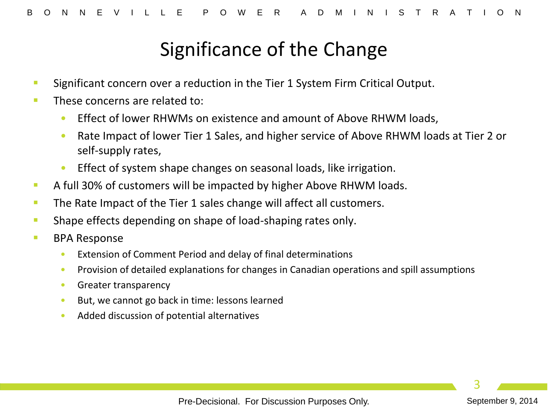### Significance of the Change

- **Significant concern over a reduction in the Tier 1 System Firm Critical Output.**
- **These concerns are related to:** 
	- Effect of lower RHWMs on existence and amount of Above RHWM loads,
	- Rate Impact of lower Tier 1 Sales, and higher service of Above RHWM loads at Tier 2 or self-supply rates,
	- Effect of system shape changes on seasonal loads, like irrigation.
- A full 30% of customers will be impacted by higher Above RHWM loads.
- The Rate Impact of the Tier 1 sales change will affect all customers.
- **Shape effects depending on shape of load-shaping rates only.**
- **BPA Response** 
	- Extension of Comment Period and delay of final determinations
	- Provision of detailed explanations for changes in Canadian operations and spill assumptions
	- Greater transparency
	- But, we cannot go back in time: lessons learned
	- Added discussion of potential alternatives

Pre-Decisional. For Discussion Purposes Only. September 9, 2014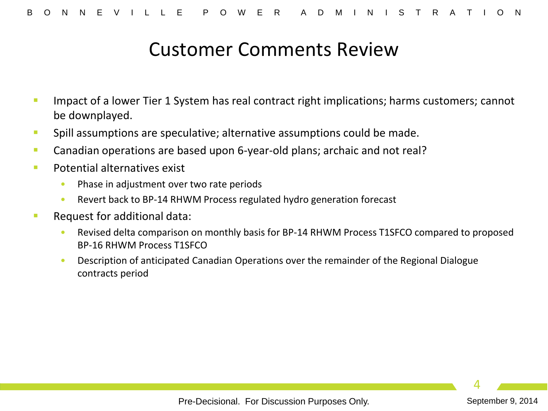#### Customer Comments Review

- Impact of a lower Tier 1 System has real contract right implications; harms customers; cannot be downplayed.
- **Spill assumptions are speculative; alternative assumptions could be made.**
- Canadian operations are based upon 6-year-old plans; archaic and not real?
- **Potential alternatives exist** 
	- Phase in adjustment over two rate periods
	- Revert back to BP-14 RHWM Process regulated hydro generation forecast
- **Request for additional data:** 
	- Revised delta comparison on monthly basis for BP-14 RHWM Process T1SFCO compared to proposed BP-16 RHWM Process T1SFCO
	- Description of anticipated Canadian Operations over the remainder of the Regional Dialogue contracts period

Pre-Decisional. For Discussion Purposes Only. September 9, 2014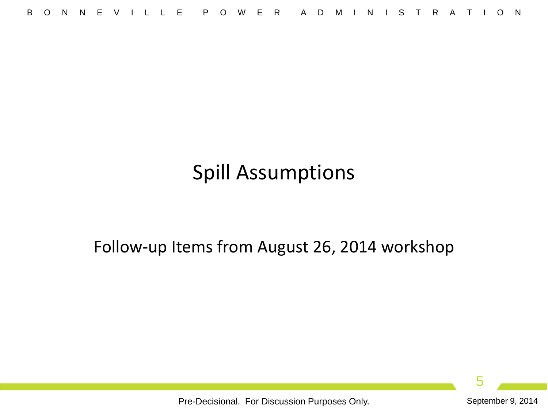# Spill Assumptions

Follow-up Items from August 26, 2014 workshop

5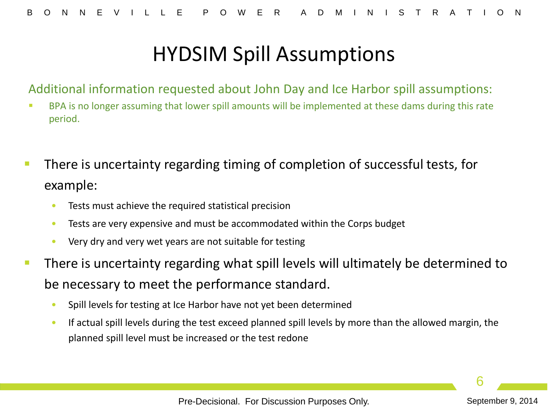Additional information requested about John Day and Ice Harbor spill assumptions:

- BPA is no longer assuming that lower spill amounts will be implemented at these dams during this rate period.
- There is uncertainty regarding timing of completion of successful tests, for example:
	- Tests must achieve the required statistical precision
	- Tests are very expensive and must be accommodated within the Corps budget
	- Very dry and very wet years are not suitable for testing
- There is uncertainty regarding what spill levels will ultimately be determined to be necessary to meet the performance standard.
	- Spill levels for testing at Ice Harbor have not yet been determined
	- If actual spill levels during the test exceed planned spill levels by more than the allowed margin, the planned spill level must be increased or the test redone

Pre-Decisional. For Discussion Purposes Only. September 9, 2014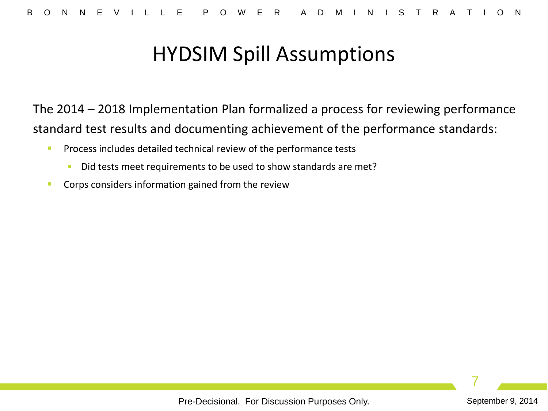The 2014 – 2018 Implementation Plan formalized a process for reviewing performance standard test results and documenting achievement of the performance standards:

- **Process includes detailed technical review of the performance tests** 
	- Did tests meet requirements to be used to show standards are met?
- **Corps considers information gained from the review**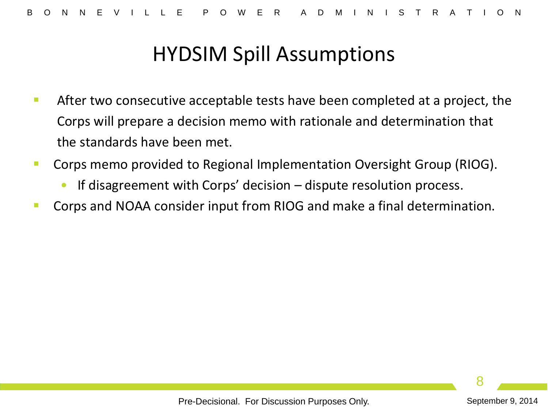- **After two consecutive acceptable tests have been completed at a project, the** Corps will prepare a decision memo with rationale and determination that the standards have been met.
- **Corps memo provided to Regional Implementation Oversight Group (RIOG).** 
	- If disagreement with Corps' decision  $-$  dispute resolution process.
- Corps and NOAA consider input from RIOG and make a final determination.

Pre-Decisional. For Discussion Purposes Only. September 9, 2014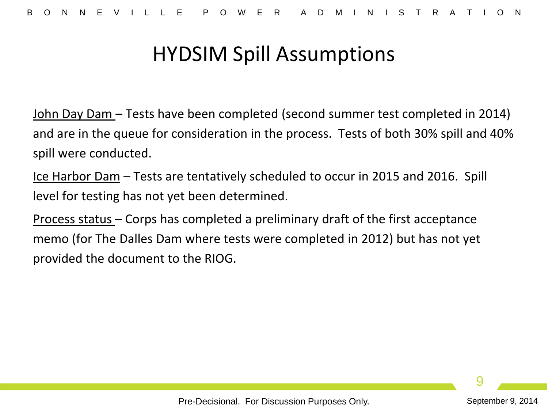John Day Dam – Tests have been completed (second summer test completed in 2014) and are in the queue for consideration in the process. Tests of both 30% spill and 40% spill were conducted.

Ice Harbor Dam – Tests are tentatively scheduled to occur in 2015 and 2016. Spill level for testing has not yet been determined.

Process status – Corps has completed a preliminary draft of the first acceptance memo (for The Dalles Dam where tests were completed in 2012) but has not yet provided the document to the RIOG.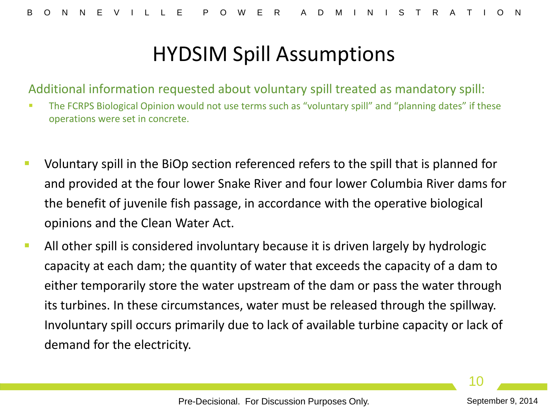Additional information requested about voluntary spill treated as mandatory spill:

- **The FCRPS Biological Opinion would not use terms such as "voluntary spill" and "planning dates" if these** operations were set in concrete.
- Voluntary spill in the BiOp section referenced refers to the spill that is planned for and provided at the four lower Snake River and four lower Columbia River dams for the benefit of juvenile fish passage, in accordance with the operative biological opinions and the Clean Water Act.
- All other spill is considered involuntary because it is driven largely by hydrologic capacity at each dam; the quantity of water that exceeds the capacity of a dam to either temporarily store the water upstream of the dam or pass the water through its turbines. In these circumstances, water must be released through the spillway. Involuntary spill occurs primarily due to lack of available turbine capacity or lack of demand for the electricity.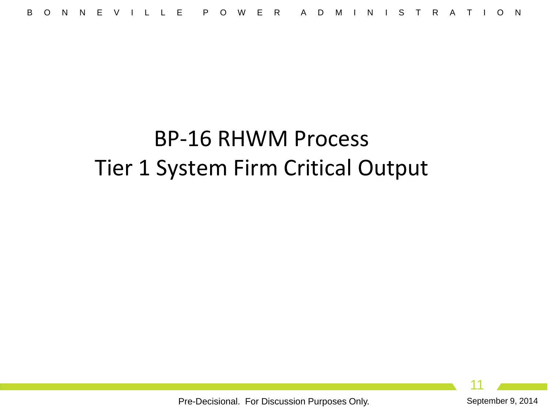# BP-16 RHWM Process Tier 1 System Firm Critical Output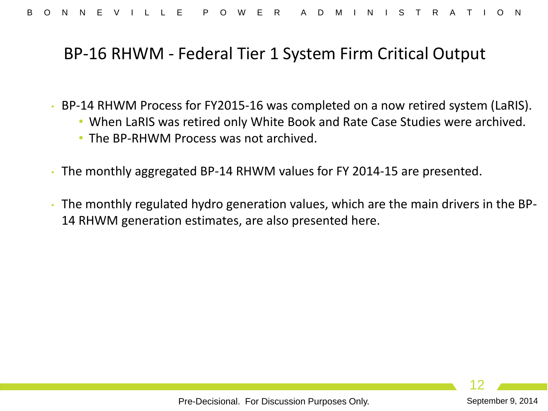#### BP-16 RHWM - Federal Tier 1 System Firm Critical Output

- BP-14 RHWM Process for FY2015-16 was completed on a now retired system (LaRIS).
	- When LaRIS was retired only White Book and Rate Case Studies were archived.
	- The BP-RHWM Process was not archived.
- The monthly aggregated BP-14 RHWM values for FY 2014-15 are presented.
- The monthly regulated hydro generation values, which are the main drivers in the BP-14 RHWM generation estimates, are also presented here.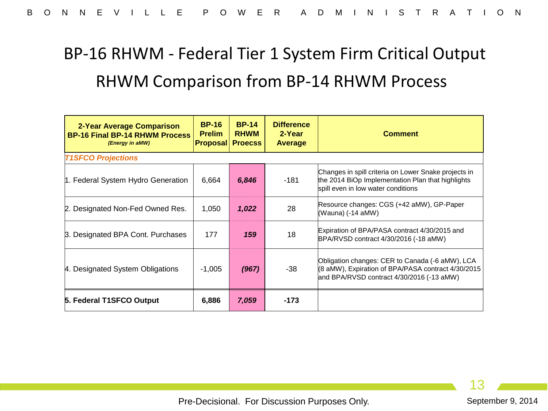# BP-16 RHWM - Federal Tier 1 System Firm Critical Output RHWM Comparison from BP-14 RHWM Process

| 2-Year Average Comparison<br><b>BP-16 Final BP-14 RHWM Process</b><br>(Energy in aMW) | <b>BP-16</b><br><b>Prelim</b><br><b>Proposal</b> | <b>BP-14</b><br><b>RHWM</b><br><b>Proecss</b> | <b>Difference</b><br>2-Year<br>Average | <b>Comment</b>                                                                                                                                     |  |  |  |  |  |
|---------------------------------------------------------------------------------------|--------------------------------------------------|-----------------------------------------------|----------------------------------------|----------------------------------------------------------------------------------------------------------------------------------------------------|--|--|--|--|--|
| <b>T1SFCO Projections</b>                                                             |                                                  |                                               |                                        |                                                                                                                                                    |  |  |  |  |  |
| 1. Federal System Hydro Generation                                                    | 6,664                                            | 6,846                                         | $-181$                                 | Changes in spill criteria on Lower Snake projects in<br>the 2014 BiOp Implementation Plan that highlights<br>spill even in low water conditions    |  |  |  |  |  |
| 2. Designated Non-Fed Owned Res.                                                      | 1,050                                            | 1,022                                         | 28                                     | Resource changes: CGS (+42 aMW), GP-Paper<br>(Wauna) (-14 aMW)                                                                                     |  |  |  |  |  |
| 3. Designated BPA Cont. Purchases                                                     | 177                                              | 159                                           | 18                                     | Expiration of BPA/PASA contract 4/30/2015 and<br>BPA/RVSD contract 4/30/2016 (-18 aMW)                                                             |  |  |  |  |  |
| 4. Designated System Obligations                                                      | $-1,005$                                         | (967)                                         | -38                                    | Obligation changes: CER to Canada (-6 aMW), LCA<br>(8 aMW), Expiration of BPA/PASA contract 4/30/2015<br>and BPA/RVSD contract 4/30/2016 (-13 aMW) |  |  |  |  |  |
| 5. Federal T1SFCO Output                                                              | 6,886                                            | 7,059                                         | -173                                   |                                                                                                                                                    |  |  |  |  |  |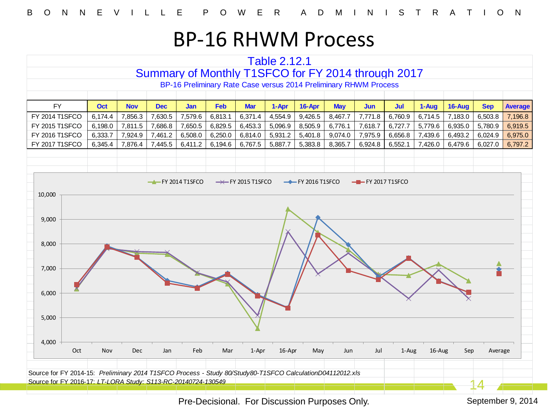#### BP-16 RHWM Process

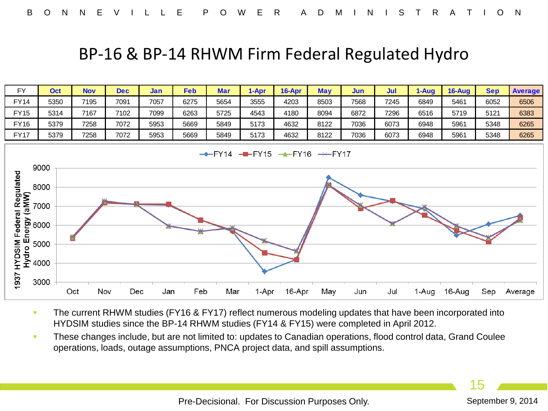#### BP-16 & BP-14 RHWM Firm Federal Regulated Hydro



- The current RHWM studies (FY16 & FY17) reflect numerous modeling updates that have been incorporated into HYDSIM studies since the BP-14 RHWM studies (FY14 & FY15) were completed in April 2012.
- **These changes include, but are not limited to: updates to Canadian operations, flood control data, Grand Coulee** operations, loads, outage assumptions, PNCA project data, and spill assumptions.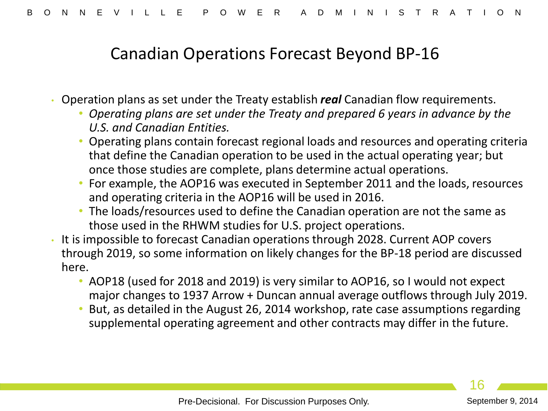#### Canadian Operations Forecast Beyond BP-16

- Operation plans as set under the Treaty establish *real* Canadian flow requirements.
	- *Operating plans are set under the Treaty and prepared 6 years in advance by the U.S. and Canadian Entities.*
	- Operating plans contain forecast regional loads and resources and operating criteria that define the Canadian operation to be used in the actual operating year; but once those studies are complete, plans determine actual operations.
	- For example, the AOP16 was executed in September 2011 and the loads, resources and operating criteria in the AOP16 will be used in 2016.
	- The loads/resources used to define the Canadian operation are not the same as those used in the RHWM studies for U.S. project operations.
- It is impossible to forecast Canadian operations through 2028. Current AOP covers through 2019, so some information on likely changes for the BP-18 period are discussed here.
	- AOP18 (used for 2018 and 2019) is very similar to AOP16, so I would not expect major changes to 1937 Arrow + Duncan annual average outflows through July 2019.
	- But, as detailed in the August 26, 2014 workshop, rate case assumptions regarding supplemental operating agreement and other contracts may differ in the future.

16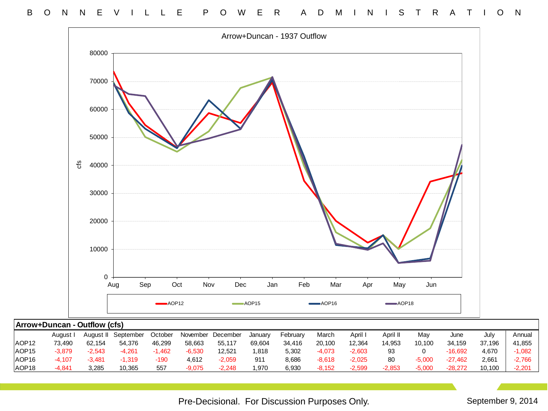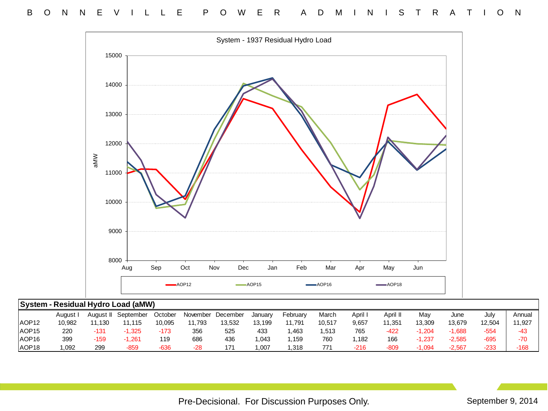

|                   | 8000     |           |                                    |         |                         |            |           |                                               |                         |         |                         |          |          |                   |        |
|-------------------|----------|-----------|------------------------------------|---------|-------------------------|------------|-----------|-----------------------------------------------|-------------------------|---------|-------------------------|----------|----------|-------------------|--------|
|                   |          |           | Aug                                | Sep     | Oct                     | Nov<br>Dec | Jan       | Feb                                           | Mar                     | Apr     | May                     | Jun      |          |                   |        |
|                   |          |           |                                    |         | $\longrightarrow$ AOP12 | -          | $- AOP15$ |                                               | $\longrightarrow$ AOP16 |         | $\longrightarrow$ AOP18 |          |          |                   |        |
|                   |          |           | System - Residual Hydro Load (aMW) |         |                         |            |           |                                               |                         |         |                         |          |          |                   |        |
|                   | August I | August II | September                          | October | November                | December   | January   | February                                      | March                   | April I | April II                | May      | June     | July              | Annual |
| AOP <sub>12</sub> | 10,982   | 11,130    | 11,115                             | 10,095  | 11,793                  | 13,532     | 13,199    | 11,791                                        | 10,517                  | 9,657   | 11,351                  | 13,309   | 13,679   | 12,504            | 11,927 |
| AOP <sub>15</sub> | 220      | $-131$    | $-1,325$                           | $-173$  | 356                     | 525        | 433       | 1,463                                         | 1,513                   | 765     | -422                    | $-1,204$ | $-1,688$ | $-554$            | -43    |
| AOP <sub>16</sub> | 399      | $-159$    | $-1,261$                           | 119     | 686                     | 436        | 1,043     | 1,159                                         | 760                     | 1,182   | 166                     | $-1,237$ | $-2,585$ | $-695$            | $-70$  |
| AOP <sub>18</sub> | 1,092    | 299       | $-859$                             | $-636$  | $-28$                   | 171        | 1,007     | 1,318                                         | 771                     | $-216$  | $-809$                  | $-1,094$ | $-2,567$ | $-233$            | $-168$ |
|                   |          |           |                                    |         |                         |            |           |                                               |                         |         |                         |          |          |                   |        |
|                   |          |           |                                    |         |                         |            |           | Pre-Decisional. For Discussion Purposes Only. |                         |         |                         |          |          | September 9, 2014 |        |
|                   |          |           |                                    |         |                         |            |           |                                               |                         |         |                         |          |          |                   |        |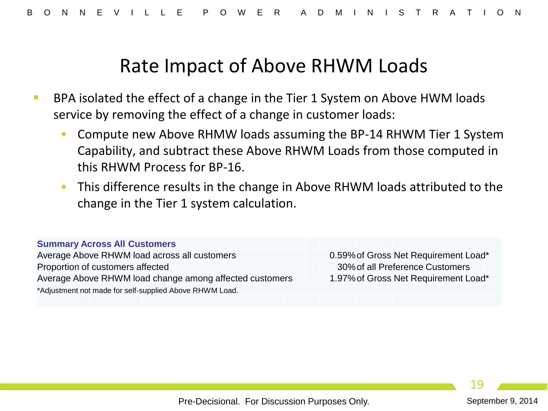#### Rate Impact of Above RHWM Loads

- BPA isolated the effect of a change in the Tier 1 System on Above HWM loads service by removing the effect of a change in customer loads:
	- Compute new Above RHMW loads assuming the BP-14 RHWM Tier 1 System Capability, and subtract these Above RHWM Loads from those computed in this RHWM Process for BP-16.
	- This difference results in the change in Above RHWM loads attributed to the change in the Tier 1 system calculation.

#### **Summary Across All Customers**

Average Above RHWM load across all customers 0.59% of Gross Net Requirement Load\* Proportion of customers affected 30%of all Preference Customers Average Above RHWM load change among affected customers 1.97% of Gross Net Requirement Load\* \*Adjustment not made for self-supplied Above RHWM Load.

19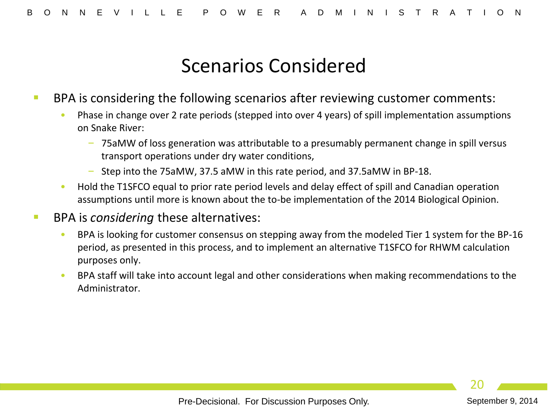#### Scenarios Considered

- BPA is considering the following scenarios after reviewing customer comments:
	- Phase in change over 2 rate periods (stepped into over 4 years) of spill implementation assumptions on Snake River:
		- 75aMW of loss generation was attributable to a presumably permanent change in spill versus transport operations under dry water conditions,
		- Step into the 75aMW, 37.5 aMW in this rate period, and 37.5aMW in BP-18.
	- Hold the T1SFCO equal to prior rate period levels and delay effect of spill and Canadian operation assumptions until more is known about the to-be implementation of the 2014 Biological Opinion.
- BPA is *considering* these alternatives:
	- BPA is looking for customer consensus on stepping away from the modeled Tier 1 system for the BP-16 period, as presented in this process, and to implement an alternative T1SFCO for RHWM calculation purposes only.
	- BPA staff will take into account legal and other considerations when making recommendations to the Administrator.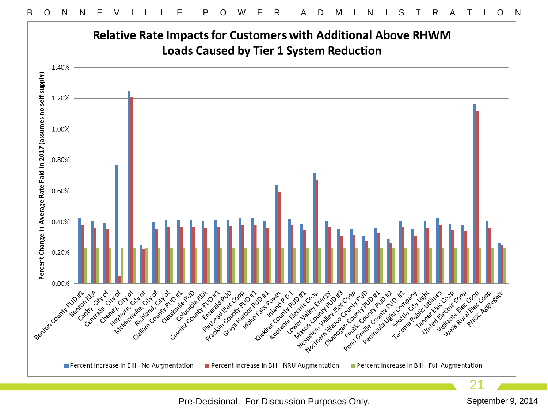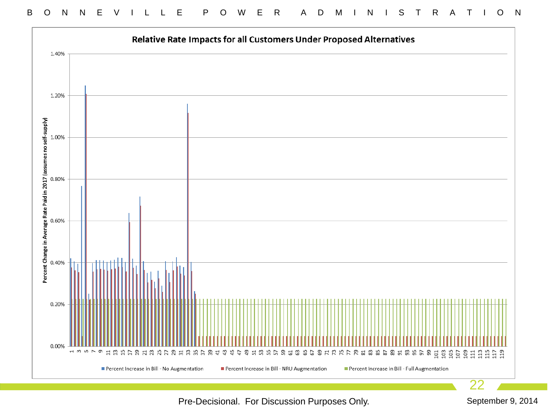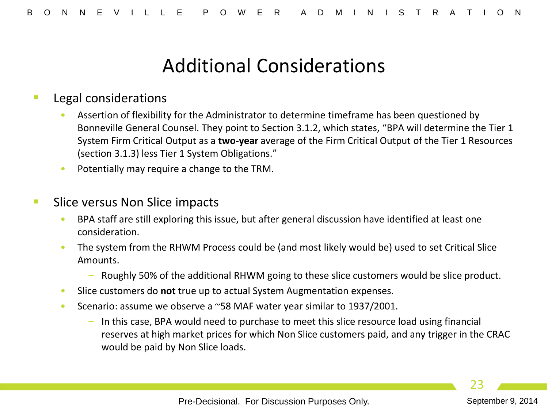### Additional Considerations

#### Legal considerations

- Assertion of flexibility for the Administrator to determine timeframe has been questioned by Bonneville General Counsel. They point to Section 3.1.2, which states, "BPA will determine the Tier 1 System Firm Critical Output as a **two-year** average of the Firm Critical Output of the Tier 1 Resources (section 3.1.3) less Tier 1 System Obligations."
- Potentially may require a change to the TRM.

#### Slice versus Non Slice impacts

- BPA staff are still exploring this issue, but after general discussion have identified at least one consideration.
- The system from the RHWM Process could be (and most likely would be) used to set Critical Slice Amounts.
	- Roughly 50% of the additional RHWM going to these slice customers would be slice product.
- Slice customers do **not** true up to actual System Augmentation expenses.
- Scenario: assume we observe a ~58 MAF water year similar to 1937/2001.
	- In this case, BPA would need to purchase to meet this slice resource load using financial reserves at high market prices for which Non Slice customers paid, and any trigger in the CRAC would be paid by Non Slice loads.

Pre-Decisional. For Discussion Purposes Only. September 9, 2014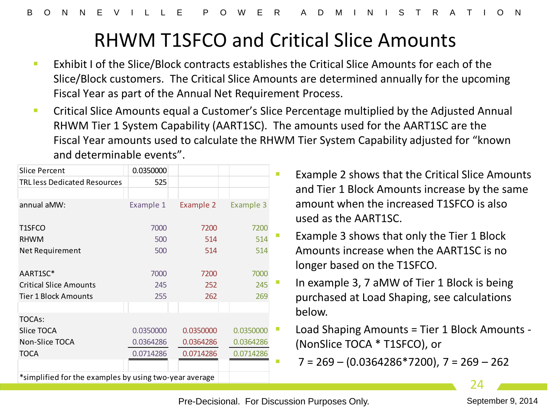## RHWM T1SFCO and Critical Slice Amounts

- **Exhibit I of the Slice/Block contracts establishes the Critical Slice Amounts for each of the** Slice/Block customers. The Critical Slice Amounts are determined annually for the upcoming Fiscal Year as part of the Annual Net Requirement Process.
- **EXPLEST 2018 Critical Slice Amounts equal a Customer's Slice Percentage multiplied by the Adjusted Annual** RHWM Tier 1 System Capability (AART1SC). The amounts used for the AART1SC are the Fiscal Year amounts used to calculate the RHWM Tier System Capability adjusted for "known and determinable events".

| <b>Slice Percent</b>                                   | 0.0350000 |           |           |  |
|--------------------------------------------------------|-----------|-----------|-----------|--|
| <b>TRL less Dedicated Resources</b>                    | 525       |           |           |  |
|                                                        |           |           |           |  |
| annual aMW:                                            | Example 1 | Example 2 | Example 3 |  |
|                                                        |           |           |           |  |
| T1SFCO                                                 | 7000      | 7200      | 7200      |  |
| <b>RHWM</b>                                            | 500       | 514       | 514       |  |
| Net Requirement                                        | 500       | 514       | 514       |  |
|                                                        |           |           |           |  |
| AART1SC*                                               | 7000      | 7200      | 7000      |  |
| <b>Critical Slice Amounts</b>                          | 245       | 252       | 245       |  |
| <b>Tier 1 Block Amounts</b>                            | 255       | 262       | 269       |  |
|                                                        |           |           |           |  |
| TOCAs:                                                 |           |           |           |  |
| Slice TOCA                                             | 0.0350000 | 0.0350000 | 0.0350000 |  |
| Non-Slice TOCA                                         | 0.0364286 | 0.0364286 | 0.0364286 |  |
| TOCA                                                   | 0.0714286 | 0.0714286 | 0.0714286 |  |
|                                                        |           |           |           |  |
| *simplified for the examples by using two-year average |           |           |           |  |

- Example 2 shows that the Critical Slice Amounts and Tier 1 Block Amounts increase by the same amount when the increased T1SFCO is also used as the AART1SC.
- Example 3 shows that only the Tier 1 Block Amounts increase when the AART1SC is no longer based on the T1SFCO.
- In example 3, 7 aMW of Tier 1 Block is being purchased at Load Shaping, see calculations below.
- Load Shaping Amounts = Tier 1 Block Amounts (NonSlice TOCA \* T1SFCO), or

 $7 = 269 - (0.0364286*7200)$ ,  $7 = 269 - 262$ 

24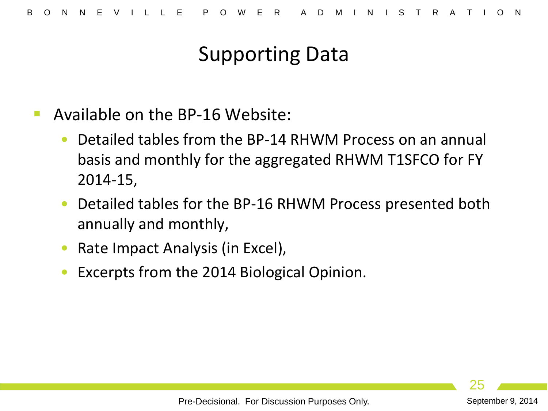## Supporting Data

- Available on the BP-16 Website:
	- Detailed tables from the BP-14 RHWM Process on an annual basis and monthly for the aggregated RHWM T1SFCO for FY 2014-15,
	- Detailed tables for the BP-16 RHWM Process presented both annually and monthly,
	- Rate Impact Analysis (in Excel),
	- Excerpts from the 2014 Biological Opinion.